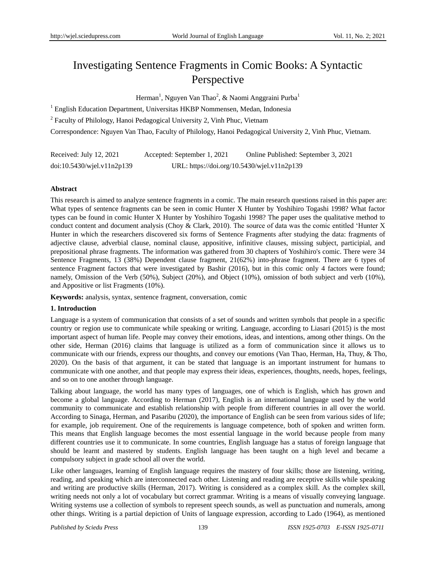# Investigating Sentence Fragments in Comic Books: A Syntactic Perspective

Herman<sup>1</sup>, Nguyen Van Thao<sup>2</sup>, & Naomi Anggraini Purba<sup>1</sup>

<sup>1</sup> English Education Department, Universitas HKBP Nommensen, Medan, Indonesia

<sup>2</sup> Faculty of Philology, Hanoi Pedagogical University 2, Vinh Phuc, Vietnam

Correspondence: Nguyen Van Thao, Faculty of Philology, Hanoi Pedagogical University 2, Vinh Phuc, Vietnam.

| Received: July 12, 2021          | Accepted: September 1, 2021                 | Online Published: September 3, 2021 |  |
|----------------------------------|---------------------------------------------|-------------------------------------|--|
| $doi:10.5430/w$ jel.v $11n2p139$ | URL: https://doi.org/10.5430/wjel.v11n2p139 |                                     |  |

## **Abstract**

This research is aimed to analyze sentence fragments in a comic. The main research questions raised in this paper are: What types of sentence fragments can be seen in comic Hunter X Hunter by Yoshihiro Togashi 1998? What factor types can be found in comic Hunter X Hunter by Yoshihiro Togashi 1998? The paper uses the qualitative method to conduct content and document analysis [\(Choy & Clark, 2010\)](#page-11-0). The source of data was the comic entitled "Hunter X Hunter in which the researchers discovered six forms of Sentence Fragments after studying the data: fragments of adjective clause, adverbial clause, nominal clause, appositive, infinitive clauses, missing subject, participial, and prepositional phrase fragments. The information was gathered from 30 chapters of Yoshihiro's comic. There were 34 Sentence Fragments, 13 (38%) Dependent clause fragment, 21(62%) into-phrase fragment. There are 6 types of sentence Fragment factors that were investigated by Bashir (2016), but in this comic only 4 factors were found; namely, Omission of the Verb (50%), Subject (20%), and Object (10%), omission of both subject and verb (10%), and Appositive or list Fragments (10%).

**Keywords:** analysis, syntax, sentence fragment, conversation, comic

# **1. Introduction**

Language is a system of communication that consists of a set of sounds and written symbols that people in a specific country or region use to communicate while speaking or writing. Language, according to [Liasari \(2015\)](#page-11-1) is the most important aspect of human life. People may convey their emotions, ideas, and intentions, among other things. On the other side, [Herman \(2016\)](#page-11-2) claims that language is utilized as a form of communication since it allows us to communicate with our friends, express our thoughts, and convey our emotions [\(Van Thao, Herman, Ha, Thuy, & Tho,](#page-12-0)  [2020\)](#page-12-0). On the basis of that argument, it can be stated that language is an important instrument for humans to communicate with one another, and that people may express their ideas, experiences, thoughts, needs, hopes, feelings, and so on to one another through language.

Talking about language, the world has many types of languages, one of which is English, which has grown and become a global language. According to [Herman \(2017\)](#page-11-3), English is an international language used by the world community to communicate and establish relationship with people from different countries in all over the world. According to [Sinaga, Herman, and Pasaribu \(2020\)](#page-12-1), the importance of English can be seen from various sides of life; for example, job requirement. One of the requirements is language competence, both of spoken and written form. This means that English language becomes the most essential language in the world because people from many different countries use it to communicate. In some countries, English language has a status of foreign language that should be learnt and mastered by students. English language has been taught on a high level and became a compulsory subject in grade school all over the world.

Like other languages, learning of English language requires the mastery of four skills; those are listening, writing, reading, and speaking which are interconnected each other. Listening and reading are receptive skills while speaking and writing are productive skills [\(Herman, 2017\)](#page-11-3). Writing is considered as a complex skill. As the complex skill, writing needs not only a lot of vocabulary but correct grammar. Writing is a means of visually conveying language. Writing systems use a collection of symbols to represent speech sounds, as well as punctuation and numerals, among other things. Writing is a partial depiction of Units of language expression, according to Lado (1964), as mentioned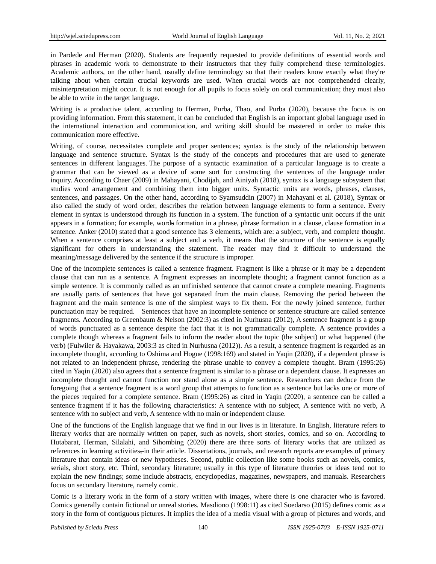in [Pardede and Herman \(2020\)](#page-12-2). Students are frequently requested to provide definitions of essential words and phrases in academic work to demonstrate to their instructors that they fully comprehend these terminologies. Academic authors, on the other hand, usually define terminology so that their readers know exactly what they're talking about when certain crucial keywords are used. When crucial words are not comprehended clearly, misinterpretation might occur. It is not enough for all pupils to focus solely on oral communication; they must also be able to write in the target language.

Writing is a productive talent, according to [Herman, Purba, Thao, and Purba \(2020\)](#page-11-4), because the focus is on providing information. From this statement, it can be concluded that English is an important global language used in the international interaction and communication, and writing skill should be mastered in order to make this communication more effective.

Writing, of course, necessitates complete and proper sentences; syntax is the study of the relationship between language and sentence structure. Syntax is the study of the concepts and procedures that are used to generate sentences in different languages. The purpose of a syntactic examination of a particular language is to create a grammar that can be viewed as a device of some sort for constructing the sentences of the language under inquiry. According to Chaer (2009) in [Mahayani, Chodijah, and Ainiyah \(2018\)](#page-11-5), syntax is a language subsystem that studies word arrangement and combining them into bigger units. Syntactic units are words, phrases, clauses, sentences, and passages. On the other hand, according to Syamsuddin (2007) in [Mahayani et al. \(2018\)](#page-11-5), Syntax or also called the study of word order, describes the relation between language elements to form a sentence. Every element in syntax is understood through its function in a system. The function of a syntactic unit occurs if the unit appears in a formation; for example, words formation in a phrase, phrase formation in a clause, clause formation in a sentence. [Anker \(2010\)](#page-11-6) stated that a good sentence has 3 elements, which are: a subject, verb, and complete thought. When a sentence comprises at least a subject and a verb, it means that the structure of the sentence is equally significant for others in understanding the statement. The reader may find it difficult to understand the meaning/message delivered by the sentence if the structure is improper.

One of the incomplete sentences is called a sentence fragment. Fragment is like a phrase or it may be a dependent clause that can run as a sentence. A fragment expresses an incomplete thought; a fragment cannot function as a simple sentence. It is commonly called as an unfinished sentence that cannot create a complete meaning. Fragments are usually parts of sentences that have got separated from the main clause. Removing the period between the fragment and the main sentence is one of the simplest ways to fix them. For the newly joined sentence, further punctuation may be required. Sentences that have an incomplete sentence or sentence structure are called sentence fragments. According to Greenbaum & Nelson (2002:3) as cited in [Nurhusna \(2012\)](#page-11-7), A sentence fragment is a group of words punctuated as a sentence despite the fact that it is not grammatically complete. A sentence provides a complete though whereas a fragment fails to inform the reader about the topic (the subject) or what happened (the verb) (Fulwiler & Hayakawa, 2003:3 as cited in [Nurhusna \(2012\)](#page-11-7)). As a result, a sentence fragment is regarded as an incomplete thought, according to Oshima and Hogue (1998:169) and stated in [Yaqin \(2020\)](#page-12-3), if a dependent phrase is not related to an independent phrase, rendering the phrase unable to convey a complete thought. Bram (1995:26) cited in Yaqin [\(2020\)](#page-12-3) also agrees that a sentence fragment is similar to a phrase or a dependent clause. It expresses an incomplete thought and cannot function nor stand alone as a simple sentence. Researchers can deduce from the foregoing that a sentence fragment is a word group that attempts to function as a sentence but lacks one or more of the pieces required for a complete sentence. Bram (1995:26) as cited in [Yaqin \(2020\)](#page-12-3), a sentence can be called a sentence fragment if it has the following characteristics: A sentence with no subject, A sentence with no verb, A sentence with no subject and verb, A sentence with no main or independent clause.

One of the functions of the English language that we find in our lives is in literature. In English, literature refers to literary works that are normally written on paper, such as novels, short stories, comics, and so on. According to [Hutabarat, Herman, Silalahi, and Sihombing \(2020\)](#page-11-8) there are three sorts of literary works that are utilized as references in learning activities, in their article. Dissertations, journals, and research reports are examples of primary literature that contain ideas or new hypotheses. Second, public collection like some books such as novels, comics, serials, short story, etc. Third, secondary literature; usually in this type of literature theories or ideas tend not to explain the new findings; some include abstracts, encyclopedias, magazines, newspapers, and manuals. Researchers focus on secondary literature, namely comic.

Comic is a literary work in the form of a story written with images, where there is one character who is favored. Comics generally contain fictional or unreal stories. Masdiono (1998:11) as cited [Soedarso \(2015\)](#page-12-4) defines comic as a story in the form of contiguous pictures. It implies the idea of a media visual with a group of pictures and words, and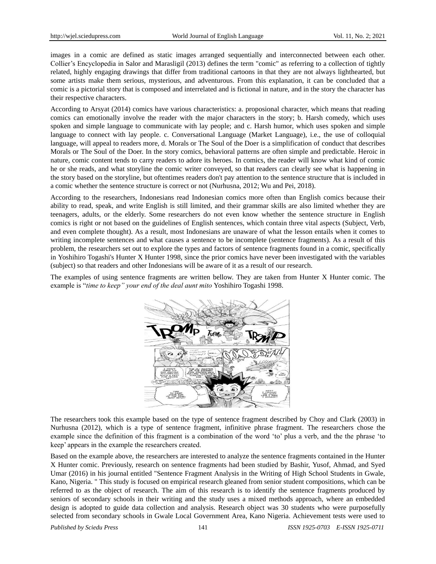images in a comic are defined as static images arranged sequentially and interconnected between each other. Collier"s Encyclopedia in [Salor and Marasligil \(2013\)](#page-12-5) defines the term "comic" as referring to a collection of tightly related, highly engaging drawings that differ from traditional cartoons in that they are not always lighthearted, but some artists make them serious, mysterious, and adventurous. From this explanation, it can be concluded that a comic is a pictorial story that is composed and interrelated and is fictional in nature, and in the story the character has their respective characters.

According to [Arsyat \(2014\)](#page-11-9) comics have various characteristics: a. proposional character, which means that reading comics can emotionally involve the reader with the major characters in the story; b. Harsh comedy, which uses spoken and simple language to communicate with lay people; and c. Harsh humor, which uses spoken and simple language to connect with lay people. c. Conversational Language (Market Language), i.e., the use of colloquial language, will appeal to readers more, d. Morals or The Soul of the Doer is a simplification of conduct that describes Morals or The Soul of the Doer. In the story comics, behavioral patterns are often simple and predictable. Heroic in nature, comic content tends to carry readers to adore its heroes. In comics, the reader will know what kind of comic he or she reads, and what storyline the comic writer conveyed, so that readers can clearly see what is happening in the story based on the storyline, but oftentimes readers don't pay attention to the sentence structure that is included in a comic whether the sentence structure is correct or not [\(Nurhusna, 2012;](#page-11-7) Wu and Pei, 2018).

According to the researchers, Indonesians read Indonesian comics more often than English comics because their ability to read, speak, and write English is still limited, and their grammar skills are also limited whether they are teenagers, adults, or the elderly. Some researchers do not even know whether the sentence structure in English comics is right or not based on the guidelines of English sentences, which contain three vital aspects (Subject, Verb, and even complete thought). As a result, most Indonesians are unaware of what the lesson entails when it comes to writing incomplete sentences and what causes a sentence to be incomplete (sentence fragments). As a result of this problem, the researchers set out to explore the types and factors of sentence fragments found in a comic, specifically in Yoshihiro Togashi's Hunter X Hunter 1998, since the prior comics have never been investigated with the variables (subject) so that readers and other Indonesians will be aware of it as a result of our research.

The examples of using sentence fragments are written bellow. They are taken from Hunter X Hunter comic. The example is "*time to keep" your end of the deal aunt mito* Yoshihiro Togashi 1998.



The researchers took this example based on the type of sentence fragment described by Choy and Clark (2003) in [Nurhusna \(2012\)](#page-11-7), which is a type of sentence fragment, infinitive phrase fragment. The researchers chose the example since the definition of this fragment is a combination of the word "to" plus a verb, and the the phrase "to keep" appears in the example the researchers created.

Based on the example above, the researchers are interested to analyze the sentence fragments contained in the Hunter X Hunter comic. Previously, research on sentence fragments had been studied by [Bashir, Yusof, Ahmad, and Syed](#page-11-10)  [Umar \(2016\)](#page-11-10) in his journal entitled "Sentence Fragment Analysis in the Writing of High School Students in Gwale, Kano, Nigeria. " This study is focused on empirical research gleaned from senior student compositions, which can be referred to as the object of research. The aim of this research is to identify the sentence fragments produced by seniors of secondary schools in their writing and the study uses a mixed methods approach, where an embedded design is adopted to guide data collection and analysis. Research object was 30 students who were purposefully selected from secondary schools in Gwale Local Government Area, Kano Nigeria. Achievement tests were used to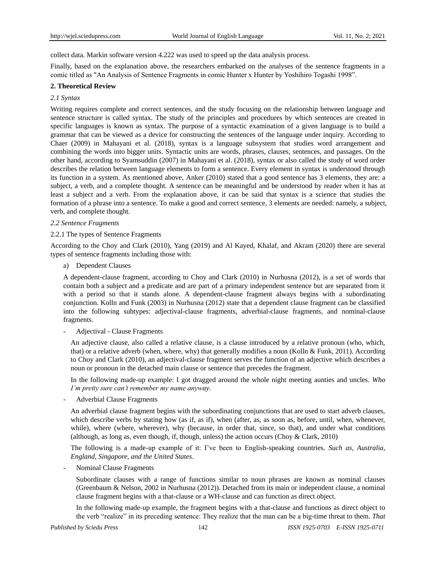collect data. Markin software version 4.222 was used to speed up the data analysis process.

Finally, based on the explanation above, the researchers embarked on the analyses of the sentence fragments in a comic titled as "An Analysis of Sentence Fragments in comic Hunter x Hunter by Yoshihiro Togashi 1998".

# **2. Theoretical Review**

# *2.1 Syntax*

Writing requires complete and correct sentences, and the study focusing on the relationship between language and sentence structure is called syntax. The study of the principles and procedures by which sentences are created in specific languages is known as syntax. The purpose of a syntactic examination of a given language is to build a grammar that can be viewed as a device for constructing the sentences of the language under inquiry. According to Chaer (2009) in [Mahayani et al. \(2018\)](#page-11-5), syntax is a language subsystem that studies word arrangement and combining the words into bigger units. Syntactic units are words, phrases, clauses, sentences, and passages. On the other hand, according to Syamsuddin (2007) in [Mahayani et al. \(2018\)](#page-11-5), syntax or also called the study of word order describes the relation between language elements to form a sentence. Every element in syntax is understood through its function in a system. As mentioned above, [Anker \(2010\)](#page-11-6) stated that a good sentence has 3 elements, they are: a subject, a verb, and a complete thought. A sentence can be meaningful and be understood by reader when it has at least a subject and a verb. From the explanation above, it can be said that syntax is a science that studies the formation of a phrase into a sentence. To make a good and correct sentence, 3 elements are needed: namely, a subject, verb, and complete thought.

# *2.2 Sentence Fragments*

# 2.2.1 The types of Sentence Fragments

According to the [Choy and Clark \(2010\)](#page-11-0), [Yang \(2019\)](#page-12-6) and [Al Kayed, Khalaf, and Akram \(2020\)](#page-11-11) there are several types of sentence fragments including those with:

a) Dependent Clauses

A dependent-clause fragment, according to [Choy and Clark \(2010\)](#page-11-0) in [Nurhusna \(2012\)](#page-11-7), is a set of words that contain both a subject and a predicate and are part of a primary independent sentence but are separated from it with a period so that it stands alone. A dependent-clause fragment always begins with a subordinating conjunction. Kolln and Funk (2003) in [Nurhusna \(2012\)](#page-11-7) state that a dependent clause fragment can be classified into the following subtypes: adjectival-clause fragments, adverbial-clause fragments, and nominal-clause fragments.

- Adjectival - Clause Fragments

An adjective clause, also called a relative clause, is a clause introduced by a relative pronoun (who, which, that) or a relative adverb (when, where, why) that generally modifies a noun [\(Kolln & Funk, 2011\)](#page-11-12). According to [Choy and Clark \(2010\)](#page-11-0), an adjectival-clause fragment serves the function of an adjective which describes a noun or pronoun in the detached main clause or sentence that precedes the fragment.

In the following made-up example: I got dragged around the whole night meeting aunties and uncles. *Who I'm pretty sure can't remember my name anyway*.

- Adverbial Clause Fragments

An adverbial clause fragment begins with the subordinating conjunctions that are used to start adverb clauses, which describe verbs by stating how (as if, as if), when (after, as, as soon as, before, until, when, whenever, while), where (where, wherever), why (because, in order that, since, so that), and under what conditions (although, as long as, even though, if, though, unless) the action occurs [\(Choy & Clark, 2010\)](#page-11-0)

The following is a made-up example of it: I"ve been to English-speaking countries. *Such as, Australia, England, Singapore, and the United States*.

Nominal Clause Fragments

Subordinate clauses with a range of functions similar to noun phrases are known as nominal clauses (Greenbaum & Nelson, 2002 in [Nurhusna \(2012\)](#page-11-7)). Detached from its main or independent clause, a nominal clause fragment begins with a that-clause or a WH-clause and can function as direct object.

In the following made-up example, the fragment begins with a that-clause and functions as direct object to the verb "realize" in its preceding sentence: They realize that the man can be a big-time threat to them. *That*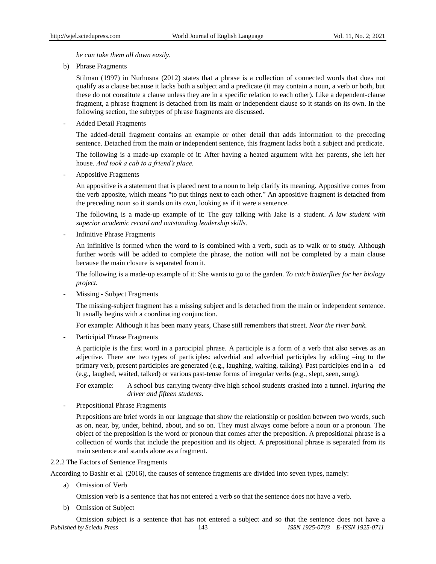*he can take them all down easily.*

b) Phrase Fragments

Stilman (1997) in [Nurhusna \(2012\)](#page-11-7) states that a phrase is a collection of connected words that does not qualify as a clause because it lacks both a subject and a predicate (it may contain a noun, a verb or both, but these do not constitute a clause unless they are in a specific relation to each other). Like a dependent-clause fragment, a phrase fragment is detached from its main or independent clause so it stands on its own. In the following section, the subtypes of phrase fragments are discussed.

- Added Detail Fragments

The added-detail fragment contains an example or other detail that adds information to the preceding sentence. Detached from the main or independent sentence, this fragment lacks both a subject and predicate.

The following is a made-up example of it: After having a heated argument with her parents, she left her house. *And took a cab to a friend's place.*

- Appositive Fragments

An appositive is a statement that is placed next to a noun to help clarify its meaning. Appositive comes from the verb apposite, which means "to put things next to each other." An appositive fragment is detached from the preceding noun so it stands on its own, looking as if it were a sentence.

The following is a made-up example of it: The guy talking with Jake is a student. *A law student with superior academic record and outstanding leadership skills.*

Infinitive Phrase Fragments

An infinitive is formed when the word to is combined with a verb, such as to walk or to study. Although further words will be added to complete the phrase, the notion will not be completed by a main clause because the main closure is separated from it.

The following is a made-up example of it: She wants to go to the garden. *To catch butterflies for her biology project.*

Missing - Subject Fragments

The missing-subject fragment has a missing subject and is detached from the main or independent sentence. It usually begins with a coordinating conjunction.

For example: Although it has been many years, Chase still remembers that street. *Near the river bank.*

Participial Phrase Fragments

A participle is the first word in a participial phrase. A participle is a form of a verb that also serves as an adjective. There are two types of participles: adverbial and adverbial participles by adding –ing to the primary verb, present participles are generated (e.g., laughing, waiting, talking). Past participles end in a –ed (e.g., laughed, waited, talked) or various past-tense forms of irregular verbs (e.g., slept, seen, sung).

For example: A school bus carrying twenty-five high school students crashed into a tunnel. *Injuring the driver and fifteen students.*

Prepositional Phrase Fragments

Prepositions are brief words in our language that show the relationship or position between two words, such as on, near, by, under, behind, about, and so on. They must always come before a noun or a pronoun. The object of the preposition is the word or pronoun that comes after the preposition. A prepositional phrase is a collection of words that include the preposition and its object. A prepositional phrase is separated from its main sentence and stands alone as a fragment.

## 2.2.2 The Factors of Sentence Fragments

According to [Bashir et al. \(2016\)](#page-11-10), the causes of sentence fragments are divided into seven types, namely:

a) Omission of Verb

Omission verb is a sentence that has not entered a verb so that the sentence does not have a verb.

b) Omission of Subject

*Published by Sciedu Press* 143 *ISSN 1925-0703 E-ISSN 1925-0711* Omission subject is a sentence that has not entered a subject and so that the sentence does not have a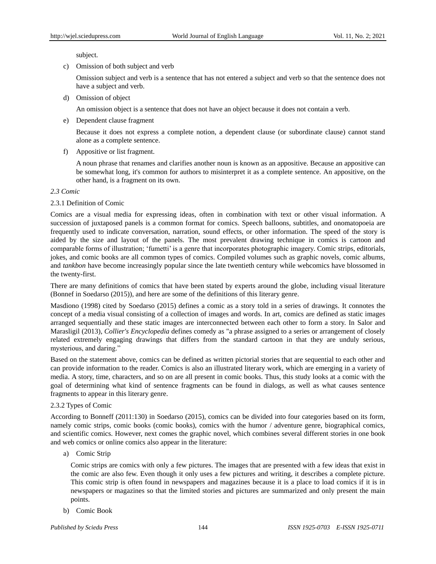subject.

c) Omission of both subject and verb

Omission subject and verb is a sentence that has not entered a subject and verb so that the sentence does not have a subject and verb.

d) Omission of object

An omission object is a sentence that does not have an object because it does not contain a verb.

e) Dependent clause fragment

Because it does not express a complete notion, a dependent clause (or subordinate clause) cannot stand alone as a complete sentence.

f) Appositive or list fragment.

A noun phrase that renames and clarifies another noun is known as an appositive. Because an appositive can be somewhat long, it's common for authors to misinterpret it as a complete sentence. An appositive, on the other hand, is a fragment on its own.

## *2.3 Comic*

# 2.3.1 Definition of Comic

Comics are a visual media for expressing ideas, often in combination with text or other visual information. A succession of juxtaposed panels is a common format for comics. Speech balloons, subtitles, and onomatopoeia are frequently used to indicate conversation, narration, sound effects, or other information. The speed of the story is aided by the size and layout of the panels. The most prevalent drawing technique in comics is cartoon and comparable forms of illustration; "fumetti" is a genre that incorporates photographic imagery. Comic strips, editorials, jokes, and comic books are all common types of comics. Compiled volumes such as graphic novels, comic albums, and *tankbon* have become increasingly popular since the late twentieth century while webcomics have blossomed in the twenty-first.

There are many definitions of comics that have been stated by experts around the globe, including visual literature (Bonnef in [Soedarso \(2015\)](#page-12-4)), and here are some of the definitions of this literary genre.

Masdiono (1998) cited by [Soedarso \(2015\)](#page-12-4) defines a comic as a story told in a series of drawings. It connotes the concept of a media visual consisting of a collection of images and words. In art, comics are defined as static images arranged sequentially and these static images are interconnected between each other to form a story. In [Salor and](#page-12-5)  [Marasligil \(2013\)](#page-12-5), *Collier's Encyclopedia* defines comedy as "a phrase assigned to a series or arrangement of closely related extremely engaging drawings that differs from the standard cartoon in that they are unduly serious, mysterious, and daring."

Based on the statement above, comics can be defined as written pictorial stories that are sequential to each other and can provide information to the reader. Comics is also an illustrated literary work, which are emerging in a variety of media. A story, time, characters, and so on are all present in comic books. Thus, this study looks at a comic with the goal of determining what kind of sentence fragments can be found in dialogs, as well as what causes sentence fragments to appear in this literary genre.

## 2.3.2 Types of Comic

According to Bonneff (2011:130) in [Soedarso \(2015\)](#page-12-4), comics can be divided into four categories based on its form, namely comic strips, comic books (comic books), comics with the humor / adventure genre, biographical comics, and scientific comics. However, next comes the graphic novel, which combines several different stories in one book and web comics or online comics also appear in the literature:

a) Comic Strip

Comic strips are comics with only a few pictures. The images that are presented with a few ideas that exist in the comic are also few. Even though it only uses a few pictures and writing, it describes a complete picture. This comic strip is often found in newspapers and magazines because it is a place to load comics if it is in newspapers or magazines so that the limited stories and pictures are summarized and only present the main points.

b) Comic Book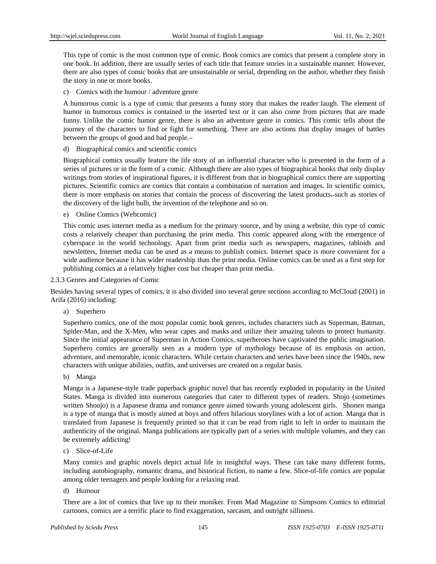This type of comic is the most common type of comic. Book comics are comics that present a complete story in one book. In addition, there are usually series of each title that feature stories in a sustainable manner. However, there are also types of comic books that are unsustainable or serial, depending on the author, whether they finish the story in one or more books.

c) Comics with the humour / adventure genre

A humorous comic is a type of comic that presents a funny story that makes the reader laugh. The element of humor in humorous comics is contained in the inserted text or it can also come from pictures that are made funny. Unlike the comic humor genre, there is also an adventure genre in comics. This comic tells about the journey of the characters to find or fight for something. There are also actions that display images of battles between the groups of good and bad people.

## d) Biographical comics and scientific comics

Biographical comics usually feature the life story of an influential character who is presented in the form of a series of pictures or in the form of a comic. Although there are also types of biographical books that only display writings from stories of inspirational figures, it is different from that in biographical comics there are supporting pictures. Scientific comics are comics that contain a combination of narration and images. In scientific comics, there is more emphasis on stories that contain the process of discovering the latest products—such as stories of the discovery of the light bulb, the invention of the telephone and so on.

e) Online Comics (Webcomic)

This comic uses internet media as a medium for the primary source, and by using a website, this type of comic costs a relatively cheaper than purchasing the print media. This comic appeared along with the emergence of cyberspace in the world technology. Apart from print media such as newspapers, magazines, tabloids and newsletters, Internet media can be used as a means to publish comics. Internet space is more convenient for a wide audience because it has wider readership than the print media. Online comics can be used as a first step for publishing comics at a relatively higher cost but cheaper than print media.

#### 2.3.3 Genres and Categories of Comic

Besides having several types of comics, it is also divided into several genre sections according to McCloud (2001) in [Arifa \(2016\)](#page-11-13) including:

a) Superhero

Superhero comics, one of the most popular comic book genres, includes characters such as Superman, Batman, Spider-Man, and the X-Men, who wear capes and masks and utilize their amazing talents to protect humanity. Since the initial appearance of Superman in Action Comics, superheroes have captivated the public imagination. Superhero comics are generally seen as a modern type of mythology because of its emphasis on action, adventure, and memorable, iconic characters. While certain characters and series have been since the 1940s, new characters with unique abilities, outfits, and universes are created on a regular basis.

b) Manga

Manga is a Japanese-style trade paperback graphic novel that has recently exploded in popularity in the United States. Manga is divided into numerous categories that cater to different types of readers. Shojo (sometimes written Shoujo) is a Japanese drama and romance genre aimed towards young adolescent girls. Shonen manga is a type of manga that is mostly aimed at boys and offers hilarious storylines with a lot of action. Manga that is translated from Japanese is frequently printed so that it can be read from right to left in order to maintain the authenticity of the original. Manga publications are typically part of a series with multiple volumes, and they can be extremely addicting!

c) Slice-of-Life

Many comics and graphic novels depict actual life in insightful ways. These can take many different forms, including autobiography, romantic drama, and historical fiction, to name a few. Slice-of-life comics are popular among older teenagers and people looking for a relaxing read.

d) Humour

There are a lot of comics that live up to their moniker. From Mad Magazine to Simpsons Comics to editorial cartoons, comics are a terrific place to find exaggeration, sarcasm, and outright silliness.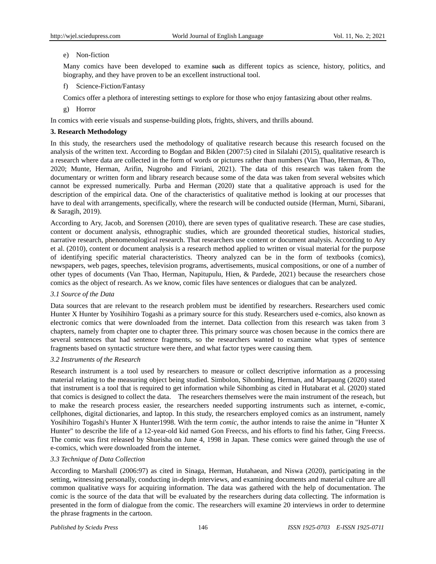## e) Non-fiction

Many comics have been developed to examine such as different topics as science, history, politics, and biography, and they have proven to be an excellent instructional tool.

f) Science-Fiction/Fantasy

Comics offer a plethora of interesting settings to explore for those who enjoy fantasizing about other realms.

g) Horror

In comics with eerie visuals and suspense-building plots, frights, shivers, and thrills abound.

## **3. Research Methodology**

In this study, the researchers used the methodology of qualitative research because this research focused on the analysis of the written text. According to Bogdan and Biklen (2007:5) cited in [Silalahi \(2015\)](#page-12-7), qualitative research is a research where data are collected in the form of words or pictures rather than numbers [\(Van Thao, Herman, & Tho,](#page-12-8)  [2020;](#page-12-8) Munte, Herman, Arifin, Nugroho and Fitriani, 2021). The data of this research was taken from the documentary or written form and library research because some of the data was taken from several websites which cannot be expressed numerically. [Purba and Herman \(2020\)](#page-12-9) state that a qualitative approach is used for the description of the empirical data. One of the characteristics of qualitative method is looking at our processes that have to deal with arrangements, specifically, where the research will be conducted outside [\(Herman, Murni, Sibarani,](#page-11-14)  [& Saragih, 2019\)](#page-11-14).

According to [Ary, Jacob, and Sorensen \(2010\)](#page-11-15), there are seven types of qualitative research. These are case studies, content or document analysis, ethnographic studies, which are grounded theoretical studies, historical studies, narrative research, phenomenological research. That researchers use content or document analysis. According to [Ary](#page-11-15)  [et al. \(2010\)](#page-11-15), content or document analysis is a research method applied to written or visual material for the purpose of identifying specific material characteristics. Theory analyzed can be in the form of textbooks (comics), newspapers, web pages, speeches, television programs, advertisements, musical compositions, or one of a number of other types of documents [\(Van Thao, Herman, Napitupulu, Hien, & Pardede, 2021\)](#page-12-10) because the researchers chose comics as the object of research. As we know, comic files have sentences or dialogues that can be analyzed.

## *3.1 Source of the Data*

Data sources that are relevant to the research problem must be identified by researchers. Researchers used comic Hunter X Hunter by Yosihihiro Togashi as a primary source for this study. Researchers used e-comics, also known as electronic comics that were downloaded from the internet. Data collection from this research was taken from 3 chapters, namely from chapter one to chapter three. This primary source was chosen because in the comics there are several sentences that had sentence fragments, so the researchers wanted to examine what types of sentence fragments based on syntactic structure were there, and what factor types were causing them.

## *3.2 Instruments of the Research*

Research instrument is a tool used by researchers to measure or collect descriptive information as a processing material relating to the measuring object being studied. [Simbolon, Sihombing, Herman, and Marpaung \(2020\)](#page-12-11) stated that instrument is a tool that is required to get information while Sihombing as cited in [Hutabarat et al. \(2020\)](#page-11-8) stated that comics is designed to collect the data. The researchers themselves were the main instrument of the reseach, but to make the research process easier, the researchers needed supporting instruments such as internet, e-comic, cellphones, digital dictionaries, and laptop. In this study, the researchers employed comics as an instrument, namely Yosihihiro Togashi's Hunter X Hunter1998. With the term *comic,* the author intends to raise the anime in "Hunter X Hunter" to describe the life of a 12-year-old kid named Gon Freecss, and his efforts to find his father, Ging Freecss. The comic was first released by Shueisha on June 4, 1998 in Japan. These comics were gained through the use of e-comics, which were downloaded from the internet.

# *3.3 Technique of Data Collection*

According to Marshall (2006:97) as cited in [Sinaga, Herman, Hutahaean, and Niswa \(2020\)](#page-12-12), participating in the setting, witnessing personally, conducting in-depth interviews, and examining documents and material culture are all common qualitative ways for acquiring information. The data was gathered with the help of documentation. The comic is the source of the data that will be evaluated by the researchers during data collecting. The information is presented in the form of dialogue from the comic. The researchers will examine 20 interviews in order to determine the phrase fragments in the cartoon.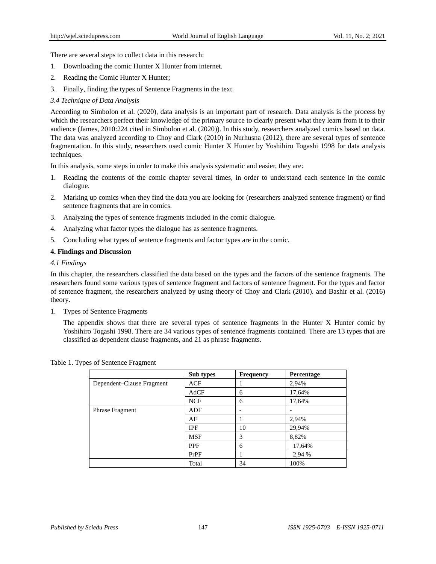There are several steps to collect data in this research:

- 1. Downloading the comic Hunter X Hunter from internet.
- 2. Reading the Comic Hunter X Hunter;
- 3. Finally, finding the types of Sentence Fragments in the text.
- *3.4 Technique of Data Analysis*

According to [Simbolon et al. \(2020\)](#page-12-11), data analysis is an important part of research. Data analysis is the process by which the researchers perfect their knowledge of the primary source to clearly present what they learn from it to their audience (James, 2010:224 cited i[n Simbolon et al. \(2020\)](#page-12-11)). In this study, researchers analyzed comics based on data. The data was analyzed according to [Choy and Clark \(2010\)](#page-11-0) in [Nurhusna \(2012\)](#page-11-7), there are several types of sentence fragmentation. In this study, researchers used comic Hunter X Hunter by Yoshihiro Togashi 1998 for data analysis techniques.

In this analysis, some steps in order to make this analysis systematic and easier, they are:

- 1. Reading the contents of the comic chapter several times, in order to understand each sentence in the comic dialogue.
- 2. Marking up comics when they find the data you are looking for (researchers analyzed sentence fragment) or find sentence fragments that are in comics.
- 3. Analyzing the types of sentence fragments included in the comic dialogue.
- 4. Analyzing what factor types the dialogue has as sentence fragments.
- 5. Concluding what types of sentence fragments and factor types are in the comic.

## **4. Findings and Discussion**

## *4.1 Findings*

In this chapter, the researchers classified the data based on the types and the factors of the sentence fragments. The researchers found some various types of sentence fragment and factors of sentence fragment. For the types and factor of sentence fragment, the researchers analyzed by using theory of [Choy and Clark \(2010\)](#page-11-0). and [Bashir et al. \(2016\)](#page-11-10) theory.

1. Types of Sentence Fragments

The appendix shows that there are several types of sentence fragments in the Hunter X Hunter comic by Yoshihiro Togashi 1998. There are 34 various types of sentence fragments contained. There are 13 types that are classified as dependent clause fragments, and 21 as phrase fragments.

|                           | Sub types  | <b>Frequency</b> | <b>Percentage</b> |
|---------------------------|------------|------------------|-------------------|
| Dependent-Clause Fragment | ACF        |                  | 2,94%             |
|                           | AdCF       | 6                | 17,64%            |
|                           | <b>NCF</b> | 6                | 17,64%            |
| <b>Phrase Fragment</b>    | ADF        |                  |                   |
|                           | AF         |                  | 2,94%             |
|                           | IPF        | 10               | 29,94%            |
|                           | <b>MSF</b> | 3                | 8,82%             |
|                           | <b>PPF</b> | 6                | 17,64%            |
|                           | PrPF       |                  | 2,94 %            |
|                           | Total      | 34               | 100%              |

Table 1. Types of Sentence Fragment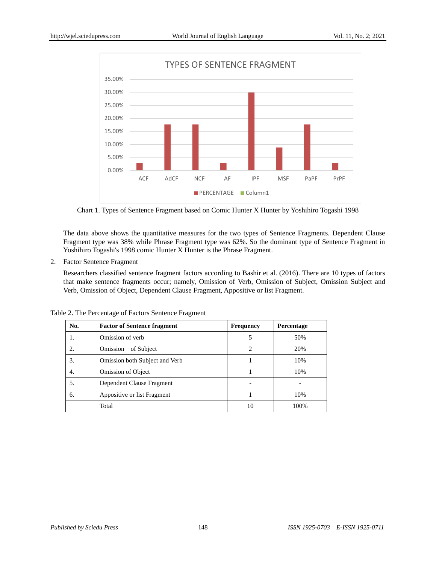

Chart 1. Types of Sentence Fragment based on Comic Hunter X Hunter by Yoshihiro Togashi 1998

The data above shows the quantitative measures for the two types of Sentence Fragments. Dependent Clause Fragment type was 38% while Phrase Fragment type was 62%. So the dominant type of Sentence Fragment in Yoshihiro Togashi's 1998 comic Hunter X Hunter is the Phrase Fragment.

2. Factor Sentence Fragment

Researchers classified sentence fragment factors according to [Bashir et al. \(2016\)](#page-11-10). There are 10 types of factors that make sentence fragments occur; namely, Omission of Verb, Omission of Subject, Omission Subject and Verb, Omission of Object, Dependent Clause Fragment, Appositive or list Fragment.

Table 2. The Percentage of Factors Sentence Fragment

| No. | <b>Factor of Sentence fragment</b> | <b>Frequency</b> | <b>Percentage</b> |
|-----|------------------------------------|------------------|-------------------|
| 1.  | Omission of verb                   |                  | 50%               |
| 2.  | Omission<br>of Subject             | 2                | 20%               |
| 3.  | Omission both Subject and Verb     |                  | 10%               |
| 4.  | <b>Omission of Object</b>          |                  | 10%               |
| 5.  | Dependent Clause Fragment          |                  |                   |
| 6.  | Appositive or list Fragment        |                  | 10%               |
|     | Total                              | 10               | 100%              |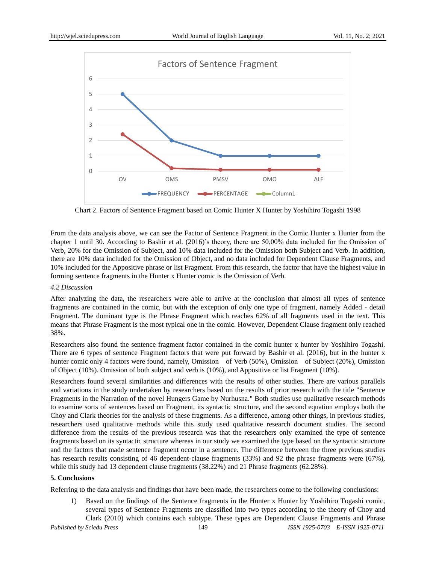

Chart 2. Factors of Sentence Fragment based on Comic Hunter X Hunter by Yoshihiro Togashi 1998

From the data analysis above, we can see the Factor of Sentence Fragment in the Comic Hunter x Hunter from the chapter 1 until 30. According to [Bashir et al. \(2016\)](#page-11-10)"s theory, there are 50,00% data included for the Omission of Verb, 20% for the Omission of Subject, and 10% data included for the Omission both Subject and Verb. In addition, there are 10% data included for the Omission of Object, and no data included for Dependent Clause Fragments, and 10% included for the Appositive phrase or list Fragment. From this research, the factor that have the highest value in forming sentence fragments in the Hunter x Hunter comic is the Omission of Verb.

## *4.2 Discussion*

After analyzing the data, the researchers were able to arrive at the conclusion that almost all types of sentence fragments are contained in the comic, but with the exception of only one type of fragment, namely Added - detail Fragment. The dominant type is the Phrase Fragment which reaches 62% of all fragments used in the text. This means that Phrase Fragment is the most typical one in the comic. However, Dependent Clause fragment only reached 38%.

Researchers also found the sentence fragment factor contained in the comic hunter x hunter by Yoshihiro Togashi. There are 6 types of sentence Fragment factors that were put forward by [Bashir et al. \(2016\)](#page-11-10), but in the hunter x hunter comic only 4 factors were found, namely, Omission of Verb (50%), Omission of Subject (20%), Omission of Object (10%). Omission of both subject and verb is (10%), and Appositive or list Fragment (10%).

Researchers found several similarities and differences with the results of other studies. There are various parallels and variations in the study undertaken by researchers based on the results of prior research with the title "Sentence Fragments in the Narration of the novel Hungers Game by Nurhusna." Both studies use qualitative research methods to examine sorts of sentences based on Fragment, its syntactic structure, and the second equation employs both the Choy and Clark theories for the analysis of these fragments. As a difference, among other things, in previous studies, researchers used qualitative methods while this study used qualitative research document studies. The second difference from the results of the previous research was that the researchers only examined the type of sentence fragments based on its syntactic structure whereas in our study we examined the type based on the syntactic structure and the factors that made sentence fragment occur in a sentence. The difference between the three previous studies has research results consisting of 46 dependent-clause fragments (33%) and 92 the phrase fragments were (67%), while this study had 13 dependent clause fragments (38.22%) and 21 Phrase fragments (62.28%).

# **5. Conclusions**

Referring to the data analysis and findings that have been made, the researchers come to the following conclusions:

1) Based on the findings of the Sentence fragments in the Hunter x Hunter by Yoshihiro Togashi comic, several types of Sentence Fragments are classified into two types according to the theory of [Choy and](#page-11-0)  [Clark \(2010\)](#page-11-0) which contains each subtype. These types are Dependent Clause Fragments and Phrase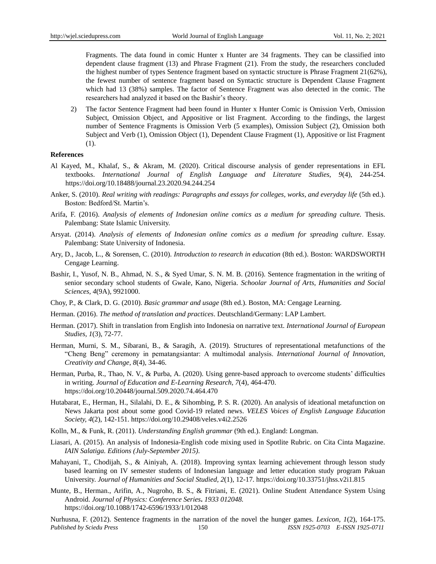Fragments. The data found in comic Hunter x Hunter are 34 fragments. They can be classified into dependent clause fragment (13) and Phrase Fragment (21). From the study, the researchers concluded the highest number of types Sentence fragment based on syntactic structure is Phrase Fragment 21(62%), the fewest number of sentence fragment based on Syntactic structure is Dependent Clause Fragment which had 13 (38%) samples. The factor of Sentence Fragment was also detected in the comic. The researchers had analyzed it based on the Bashir"s theory.

2) The factor Sentence Fragment had been found in Hunter x Hunter Comic is Omission Verb, Omission Subject, Omission Object, and Appositive or list Fragment. According to the findings, the largest number of Sentence Fragments is Omission Verb (5 examples), Omission Subject (2), Omission both Subject and Verb (1), Omission Object (1), Dependent Clause Fragment (1), Appositive or list Fragment (1).

#### **References**

- <span id="page-11-11"></span>Al Kayed, M., Khalaf, S., & Akram, M. (2020). Critical discourse analysis of gender representations in EFL textbooks. *International Journal of English Language and Literature Studies, 9*(4), 244-254. https://doi.org/10.18488/journal.23.2020.94.244.254
- <span id="page-11-6"></span>Anker, S. (2010). *Real writing with readings: Paragraphs and essays for colleges, works, and everyday life* (5th ed.). Boston: Bedford/St. Martin's.
- <span id="page-11-13"></span>Arifa, F. (2016). *Analysis of elements of Indonesian online comics as a medium for spreading culture.* Thesis. Palembang: State Islamic University.
- <span id="page-11-9"></span>Arsyat. (2014). *Analysis of elements of Indonesian online comics as a medium for spreading culture*. Essay. Palembang: State University of Indonesia.
- <span id="page-11-15"></span>Ary, D., Jacob, L., & Sorensen, C. (2010). *Introduction to research in education* (8th ed.). Boston: WARDSWORTH Cengage Learning.
- <span id="page-11-10"></span>Bashir, I., Yusof, N. B., Ahmad, N. S., & Syed Umar, S. N. M. B. (2016). Sentence fragmentation in the writing of senior secondary school students of Gwale, Kano, Nigeria. *Schoolar Journal of Arts, Humanities and Social Sciences, 4*(9A), 9921000.
- <span id="page-11-0"></span>Choy, P., & Clark, D. G. (2010). *Basic grammar and usage* (8th ed.). Boston, MA: Cengage Learning.
- <span id="page-11-2"></span>Herman. (2016). *The method of translation and practices*. Deutschland/Germany: LAP Lambert.
- <span id="page-11-3"></span>Herman. (2017). Shift in translation from English into Indonesia on narrative text. *International Journal of European Studies, 1*(3), 72-77.
- <span id="page-11-14"></span>Herman, Murni, S. M., Sibarani, B., & Saragih, A. (2019). Structures of representational metafunctions of the "Cheng Beng" ceremony in pematangsiantar: A multimodal analysis. *International Journal of Innovation, Creativity and Change, 8*(4), 34-46.
- <span id="page-11-4"></span>Herman, Purba, R., Thao, N. V., & Purba, A. (2020). Using genre-based approach to overcome students" difficulties in writing. *Journal of Education and E-Learning Research, 7*(4), 464-470. https://doi.org/10.20448/journal.509.2020.74.464.470
- <span id="page-11-8"></span>Hutabarat, E., Herman, H., Silalahi, D. E., & Sihombing, P. S. R. (2020). An analysis of ideational metafunction on News Jakarta post about some good Covid-19 related news. *VELES Voices of English Language Education Society, 4*(2), 142-151. https://doi.org/10.29408/veles.v4i2.2526
- <span id="page-11-12"></span>Kolln, M., & Funk, R. (2011). *Understanding English grammar* (9th ed.). England: Longman.
- <span id="page-11-1"></span>Liasari, A. (2015). An analysis of Indonesia-English code mixing used in Spotlite Rubric. on Cita Cinta Magazine. *IAIN Salatiga. Editions (July-September 2015)*.
- <span id="page-11-5"></span>Mahayani, T., Chodijah, S., & Ainiyah, A. (2018). Improving syntax learning achievement through lesson study based learning on IV semester students of Indonesian language and letter education study program Pakuan University. *Journal of Humanities and Social Studied, 2*(1), 12-17. https://doi.org/10.33751/jhss.v2i1.815
- Munte, B., Herman., Arifin, A., Nugroho, B. S., & Fitriani, E. (2021). Online Student Attendance System Using Android. *Journal of Physics: Conference Series***.** *1933 012048.* https://doi.org/10.1088/1742-6596/1933/1/012048

<span id="page-11-7"></span>*Published by Sciedu Press* 150 *ISSN 1925-0703 E-ISSN 1925-0711* Nurhusna, F. (2012). Sentence fragments in the narration of the novel the hunger games. *Lexicon, 1*(2), 164-175.